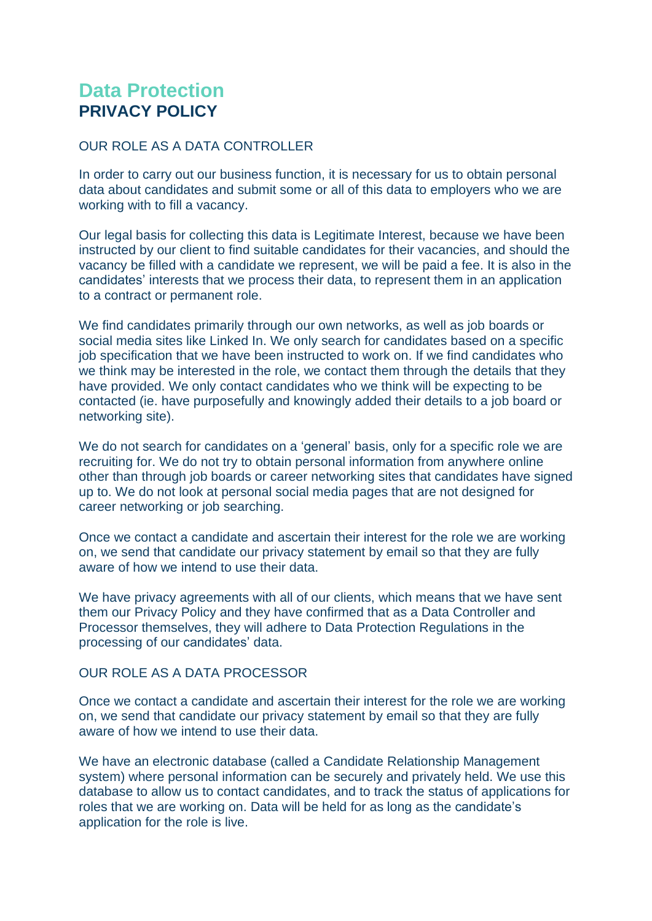## **Data Protection PRIVACY POLICY**

## OUR ROLE AS A DATA CONTROLLER

In order to carry out our business function, it is necessary for us to obtain personal data about candidates and submit some or all of this data to employers who we are working with to fill a vacancy.

Our legal basis for collecting this data is Legitimate Interest, because we have been instructed by our client to find suitable candidates for their vacancies, and should the vacancy be filled with a candidate we represent, we will be paid a fee. It is also in the candidates' interests that we process their data, to represent them in an application to a contract or permanent role.

We find candidates primarily through our own networks, as well as job boards or social media sites like Linked In. We only search for candidates based on a specific job specification that we have been instructed to work on. If we find candidates who we think may be interested in the role, we contact them through the details that they have provided. We only contact candidates who we think will be expecting to be contacted (ie. have purposefully and knowingly added their details to a job board or networking site).

We do not search for candidates on a 'general' basis, only for a specific role we are recruiting for. We do not try to obtain personal information from anywhere online other than through job boards or career networking sites that candidates have signed up to. We do not look at personal social media pages that are not designed for career networking or job searching.

Once we contact a candidate and ascertain their interest for the role we are working on, we send that candidate our privacy statement by email so that they are fully aware of how we intend to use their data.

We have privacy agreements with all of our clients, which means that we have sent them our Privacy Policy and they have confirmed that as a Data Controller and Processor themselves, they will adhere to Data Protection Regulations in the processing of our candidates' data.

## OUR ROLE AS A DATA PROCESSOR

Once we contact a candidate and ascertain their interest for the role we are working on, we send that candidate our privacy statement by email so that they are fully aware of how we intend to use their data.

We have an electronic database (called a Candidate Relationship Management system) where personal information can be securely and privately held. We use this database to allow us to contact candidates, and to track the status of applications for roles that we are working on. Data will be held for as long as the candidate's application for the role is live.